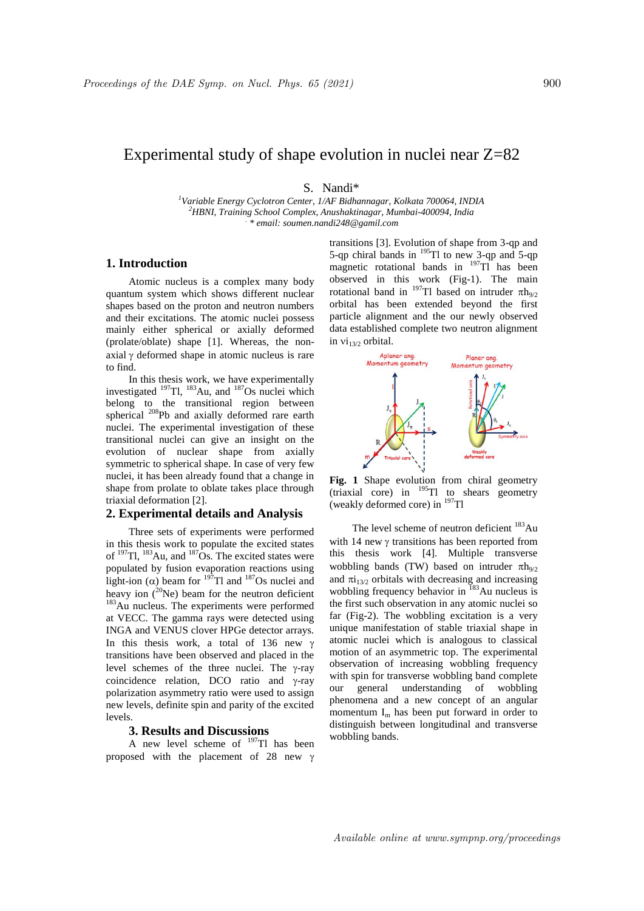# Experimental study of shape evolution in nuclei near Z=82

S. Nandi\*

*<sup>1</sup>Variable Energy Cyclotron Center, 1/AF Bidhannagar, Kolkata 700064, INDIA <sup>2</sup>HBNI, Training School Complex, Anushaktinagar, Mumbai-400094, India . \* email: soumen.nandi248@gamil.com*

# **1. Introduction**

Atomic nucleus is a complex many body quantum system which shows different nuclear shapes based on the proton and neutron numbers and their excitations. The atomic nuclei possess mainly either spherical or axially deformed (prolate/oblate) shape [1]. Whereas, the nonaxial  $\gamma$  deformed shape in atomic nucleus is rare to find.

In this thesis work, we have experimentally investigated <sup>197</sup>Tl, <sup>183</sup>Au, and <sup>187</sup>Os nuclei which belong to the transitional region between spherical <sup>208</sup>Pb and axially deformed rare earth nuclei. The experimental investigation of these transitional nuclei can give an insight on the evolution of nuclear shape from axially symmetric to spherical shape. In case of very few nuclei, it has been already found that a change in shape from prolate to oblate takes place through triaxial deformation [2].

## **2. Experimental details and Analysis**

Three sets of experiments were performed in this thesis work to populate the excited states of  $197$ Tl,  $183$ Au, and  $187$ Os. The excited states were populated by fusion evaporation reactions using light-ion ( $\alpha$ ) beam for <sup>197</sup>Tl and <sup>187</sup>Os nuclei and heavy ion  $(^{20}Ne)$  beam for the neutron deficient <sup>183</sup>Au nucleus. The experiments were performed at VECC. The gamma rays were detected using INGA and VENUS clover HPGe detector arrays. In this thesis work, a total of 136 new  $\gamma$ transitions have been observed and placed in the level schemes of the three nuclei. The  $\gamma$ -ray coincidence relation, DCO ratio and  $\gamma$ -ray polarization asymmetry ratio were used to assign new levels, definite spin and parity of the excited levels.

# **3. Results and Discussions**

A new level scheme of  $197$ Tl has been proposed with the placement of 28 new  $\gamma$ 

transitions [3]. Evolution of shape from 3-qp and 5-qp chiral bands in  $^{195}$ Tl to new 3-qp and 5-qp magnetic rotational bands in  $^{197}$ Tl has been observed in this work (Fig-1). The main rotational band in  $^{197}$ Tl based on intruder  $\pi h_{9/2}$ orbital has been extended beyond the first particle alignment and the our newly observed data established complete two neutron alignment in  $vi_{13/2}$  orbital.



**Fig. 1** Shape evolution from chiral geometry  $\frac{1}{2}$  (triaxial core) in  $\frac{195}{195}$  to shears geometry (weakly deformed core) in  $197$ Tl

The level scheme of neutron deficient <sup>183</sup>Au with 14 new  $\gamma$  transitions has been reported from this thesis work [4]. Multiple transverse wobbling bands (TW) based on intruder  $\pi h_{9/2}$ and  $\pi i_{13/2}$  orbitals with decreasing and increasing wobbling frequency behavior in  $183$ Au nucleus is the first such observation in any atomic nuclei so far (Fig-2). The wobbling excitation is a very unique manifestation of stable triaxial shape in atomic nuclei which is analogous to classical motion of an asymmetric top. The experimental observation of increasing wobbling frequency with spin for transverse wobbling band complete our general understanding of wobbling phenomena and a new concept of an angular momentum  $I_m$  has been put forward in order to distinguish between longitudinal and transverse wobbling bands.